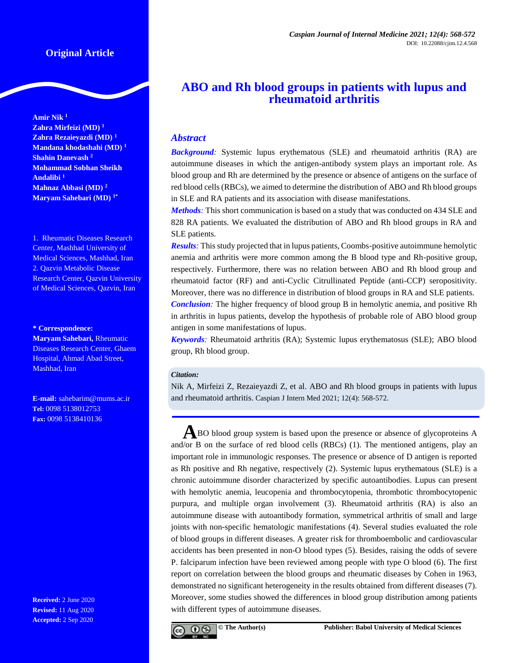**Amir Nik <sup>1</sup> Zahra Mirfeizi (MD) <sup>1</sup> Zahra Rezaieyazdi (MD) <sup>1</sup> Mandana khodashahi (MD) <sup>1</sup> Shahin Danevash <sup>2</sup> Mohammad Sobhan Sheikh Andalibi <sup>1</sup> Mahnaz Abbasi (MD) <sup>2</sup> Maryam Sahebari (MD) 1\***

1. Rheumatic Diseases Research Center, Mashhad University of Medical Sciences, Mashhad, Iran 2. Qazvin Metabolic Disease Research Center, Qazvin University of Medical Sciences, Qazvin, Iran

#### **\* Correspondence:**

**Maryam Sahebari,** Rheumatic Diseases Research Center, Ghaem Hospital, Ahmad Abad Street, Mashhad, Iran

**E-mail:** [sahebarim@mums.ac.ir](mailto:sahebarim@mums.ac.ir) **Tel:** 0098 5138012753 **Fax:** 0098 5138410136

**Received:** 2 June 2020 **Revised:** 11 Aug 2020 **Accepted:** 2 Sep 2020

# **ABO and Rh blood groups in patients with lupus and rheumatoid arthritis**

## *Abstract*

*Background:* Systemic lupus erythematous (SLE) and rheumatoid arthritis (RA) are autoimmune diseases in which the antigen-antibody system plays an important role. As blood group and Rh are determined by the presence or absence of antigens on the surface of red blood cells (RBCs), we aimed to determine the distribution of ABO and Rh blood groups in SLE and RA patients and its association with disease manifestations.

*Methods:* This short communication is based on a study that was conducted on 434 SLE and 828 RA patients. We evaluated the distribution of ABO and Rh blood groups in RA and SLE patients.

*Results:* This study projected that in lupus patients, Coombs-positive autoimmune hemolytic anemia and arthritis were more common among the B blood type and Rh-positive group, respectively. Furthermore, there was no relation between ABO and Rh blood group and rheumatoid factor (RF) and anti-Cyclic Citrullinated Peptide (anti-CCP) seropositivity. Moreover, there was no difference in distribution of blood groups in RA and SLE patients. *Conclusion:* The higher frequency of blood group B in hemolytic anemia, and positive Rh in arthritis in lupus patients, develop the hypothesis of probable role of ABO blood group

antigen in some manifestations of lupus. *Keywords:* Rheumatoid arthritis (RA); Systemic lupus erythematosus (SLE); ABO blood

group, Rh blood group.

## *Citation:*

Nik A, Mirfeizi Z, Rezaieyazdi Z, et al. ABO and Rh blood groups in patients with lupus and rheumatoid arthritis. Caspian J Intern Med 2021; 12(4): 568-572.

**A**BO blood group system is based upon the presence or absence of glycoproteins <sup>A</sup> and/or B on the surface of red blood cells (RBCs) (1). The mentioned antigens, play an important role in immunologic responses. The presence or absence of D antigen is reported as Rh positive and Rh negative, respectively (2). Systemic lupus erythematous (SLE) is a chronic autoimmune disorder characterized by specific autoantibodies. Lupus can present with hemolytic anemia, leucopenia and thrombocytopenia, thrombotic thrombocytopenic purpura, and multiple organ involvement (3). Rheumatoid arthritis (RA) is also an autoimmune disease with autoantibody formation, symmetrical arthritis of small and large joints with non-specific hematologic manifestations (4). Several studies evaluated the role of blood groups in different diseases. A greater risk for thromboembolic and cardiovascular accidents has been presented in non-O blood types (5). Besides, raising the odds of severe P. falciparum infection have been reviewed among people with type O blood (6). The first report on correlation between the blood groups and rheumatic diseases by Cohen in 1963, demonstrated no significant heterogeneity in the results obtained from different diseases (7). Moreover, some studies showed the differences in blood group distribution among patients with different types of autoimmune diseases.

$$
\text{e } \text{e } \text{e}
$$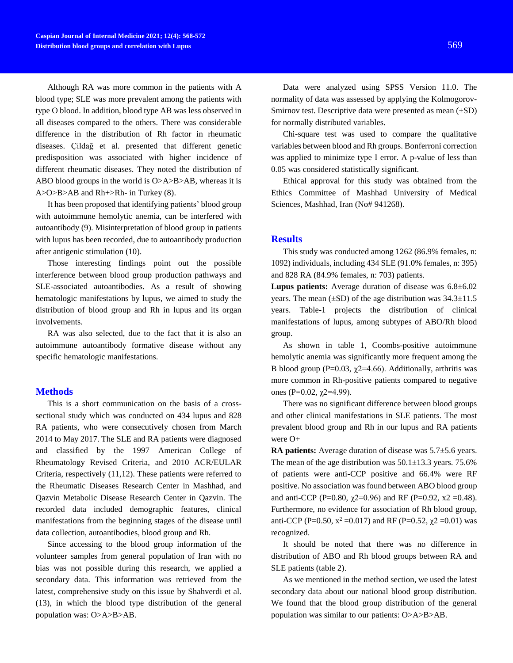Although RA was more common in the patients with A blood type; SLE was more prevalent among the patients with type O blood. In addition, blood type AB was less observed in all diseases compared to the others. There was considerable difference in the distribution of Rh factor in rheumatic diseases. Çildağ et al. presented that different genetic predisposition was associated with higher incidence of different rheumatic diseases. They noted the distribution of ABO blood groups in the world is O>A>B>AB, whereas it is A>O>B>AB and Rh+>Rh- in Turkey (8).

It has been proposed that identifying patients' blood group with autoimmune hemolytic anemia, can be interfered with autoantibody (9). Misinterpretation of blood group in patients with lupus has been recorded, due to autoantibody production after antigenic stimulation (10).

Those interesting findings point out the possible interference between blood group production pathways and SLE-associated autoantibodies. As a result of showing hematologic manifestations by lupus, we aimed to study the distribution of blood group and Rh in lupus and its organ involvements.

RA was also selected, due to the fact that it is also an autoimmune autoantibody formative disease without any specific hematologic manifestations.

## **Methods**

This is a short communication on the basis of a crosssectional study which was conducted on 434 lupus and 828 RA patients, who were consecutively chosen from March 2014 to May 2017. The SLE and RA patients were diagnosed and classified by the 1997 American College of Rheumatology Revised Criteria, and 2010 ACR/EULAR Criteria, respectively (11,12). These patients were referred to the Rheumatic Diseases Research Center in Mashhad, and Qazvin Metabolic Disease Research Center in Qazvin. The recorded data included demographic features, clinical manifestations from the beginning stages of the disease until data collection, autoantibodies, blood group and Rh.

Since accessing to the blood group information of the volunteer samples from general population of Iran with no bias was not possible during this research, we applied a secondary data. This information was retrieved from the latest, comprehensive study on this issue by Shahverdi et al. (13), in which the blood type distribution of the general population was: O>A>B>AB.

Data were analyzed using SPSS Version 11.0. The normality of data was assessed by applying the Kolmogorov-Smirnov test. Descriptive data were presented as mean  $(\pm SD)$ for normally distributed variables.

Chi-square test was used to compare the qualitative variables between blood and Rh groups. Bonferroni correction was applied to minimize type I error. A p-value of less than 0.05 was considered statistically significant.

Ethical approval for this study was obtained from the Ethics Committee of Mashhad University of Medical Sciences, Mashhad, Iran (No# 941268).

## **Results**

This study was conducted among 1262 (86.9% females, n: 1092) individuals, including 434 SLE (91.0% females, n: 395) and 828 RA (84.9% females, n: 703) patients.

**Lupus patients:** Average duration of disease was 6.8±6.02 years. The mean  $(\pm SD)$  of the age distribution was  $34.3\pm11.5$ years. Table-1 projects the distribution of clinical manifestations of lupus, among subtypes of ABO/Rh blood group.

As shown in table 1, Coombs-positive autoimmune hemolytic anemia was significantly more frequent among the B blood group (P=0.03,  $\chi$ 2=4.66). Additionally, arthritis was more common in Rh-positive patients compared to negative ones (P=0.02,  $\gamma$ 2=4.99).

There was no significant difference between blood groups and other clinical manifestations in SLE patients. The most prevalent blood group and Rh in our lupus and RA patients were O+

**RA patients:** Average duration of disease was 5.7±5.6 years. The mean of the age distribution was  $50.1 \pm 13.3$  years. 75.6% of patients were anti-CCP positive and 66.4% were RF positive. No association was found between ABO blood group and anti-CCP (P=0.80,  $\gamma$ 2=0.96) and RF (P=0.92, x2 =0.48). Furthermore, no evidence for association of Rh blood group, anti-CCP (P=0.50,  $x^2$  =0.017) and RF (P=0.52,  $\chi$ 2 =0.01) was recognized.

It should be noted that there was no difference in distribution of ABO and Rh blood groups between RA and SLE patients (table 2).

As we mentioned in the method section, we used the latest secondary data about our national blood group distribution. We found that the blood group distribution of the general population was similar to our patients: O>A>B>AB.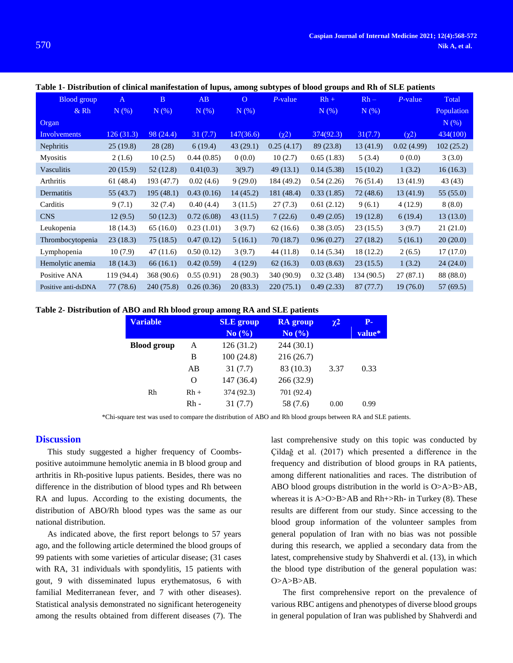| <b>Blood</b> group  | $\mathbf{A}$ | $\mathbf{B}$ | AB         | $\overline{O}$ | $P$ -value | $Rh +$     | $Rh -$     | $P$ -value | Total      |
|---------------------|--------------|--------------|------------|----------------|------------|------------|------------|------------|------------|
| $&$ Rh              | $N(\%)$      | N(%)         | $N(\%)$    | $N(\%)$        |            | N(% )      | N(%)       |            | Population |
| Organ               |              |              |            |                |            |            |            |            | N(%)       |
| <b>Involvements</b> | 126(31.3)    | 98 (24.4)    | 31(7.7)    | 147(36.6)      | $(\chi^2)$ | 374(92.3)  | 31(7.7)    | $(\chi^2)$ | 434(100)   |
| Nephritis           | 25(19.8)     | 28(28)       | 6(19.4)    | 43(29.1)       | 0.25(4.17) | 89 (23.8)  | 13(41.9)   | 0.02(4.99) | 102(25.2)  |
| <b>Myositis</b>     | 2(1.6)       | 10(2.5)      | 0.44(0.85) | 0(0.0)         | 10(2.7)    | 0.65(1.83) | 5(3.4)     | 0(0.0)     | 3(3.0)     |
| Vasculitis          | 20(15.9)     | 52(12.8)     | 0.41(0.3)  | 3(9.7)         | 49(13.1)   | 0.14(5.38) | 15(10.2)   | 1(3.2)     | 16(16.3)   |
| Arthritis           | 61(48.4)     | 193 (47.7)   | 0.02(4.6)  | 9(29.0)        | 184 (49.2) | 0.54(2.26) | 76 (51.4)  | 13 (41.9)  | 43 (43)    |
| Dermatitis          | 55 (43.7)    | 195(48.1)    | 0.43(0.16) | 14(45.2)       | 181 (48.4) | 0.33(1.85) | 72 (48.6)  | 13(41.9)   | 55(55.0)   |
| Carditis            | 9(7.1)       | 32(7.4)      | 0.40(4.4)  | 3(11.5)        | 27(7.3)    | 0.61(2.12) | 9(6.1)     | 4(12.9)    | 8(8.0)     |
| <b>CNS</b>          | 12(9.5)      | 50(12.3)     | 0.72(6.08) | 43(11.5)       | 7(22.6)    | 0.49(2.05) | 19(12.8)   | 6(19.4)    | 13(13.0)   |
| Leukopenia          | 18 (14.3)    | 65(16.0)     | 0.23(1.01) | 3(9.7)         | 62(16.6)   | 0.38(3.05) | 23(15.5)   | 3(9.7)     | 21(21.0)   |
| Thrombocytopenia    | 23(18.3)     | 75(18.5)     | 0.47(0.12) | 5(16.1)        | 70(18.7)   | 0.96(0.27) | 27(18.2)   | 5(16.1)    | 20(20.0)   |
| Lymphopenia         | 10(7.9)      | 47(11.6)     | 0.50(0.12) | 3(9.7)         | 44 (11.8)  | 0.14(5.34) | 18 (12.2)  | 2(6.5)     | 17(17.0)   |
| Hemolytic anemia    | 18(14.3)     | 66(16.1)     | 0.42(0.59) | 4(12.9)        | 62(16.3)   | 0.03(8.63) | 23(15.5)   | 1(3.2)     | 24(24.0)   |
| Positive ANA        | 119 (94.4)   | 368 (90.6)   | 0.55(0.91) | 28 (90.3)      | 340 (90.9) | 0.32(3.48) | 134 (90.5) | 27(87.1)   | 88 (88.0)  |
| Positive anti-dsDNA | 77 (78.6)    | 240 (75.8)   | 0.26(0.36) | 20(83.3)       | 220(75.1)  | 0.49(2.33) | 87 (77.7)  | 19(76.0)   | 57 (69.5)  |

Table 1- Distribution of clinical manifestation of lupus, among subtypes of blood groups and Rh of SLE patients

#### **Table 2- Distribution of ABO and Rh blood group among RA and SLE patients**

| <b>Variable</b>    |        | <b>SLE</b> group<br>No $\left(\frac{9}{6}\right)$ | <b>RA</b> group<br>No $\left(\frac{9}{6}\right)$ | $\chi^2$ | $P-$<br>value* |
|--------------------|--------|---------------------------------------------------|--------------------------------------------------|----------|----------------|
| <b>Blood</b> group | A      | 126 (31.2)                                        | 244(30.1)                                        |          |                |
|                    | B      | 100(24.8)                                         | 216(26.7)                                        |          |                |
|                    | AB     | 31(7.7)                                           | 83 (10.3)                                        | 3.37     | 0.33           |
|                    | O      | 147 (36.4)                                        | 266 (32.9)                                       |          |                |
| Rh                 | $Rh +$ | 374 (92.3)                                        | 701 (92.4)                                       |          |                |
|                    | $Rh -$ | 31(7.7)                                           | 58 (7.6)                                         | 0.00     | 0.99           |

\*Chi-square test was used to compare the distribution of ABO and Rh blood groups between RA and SLE patients.

#### **Discussion**

This study suggested a higher frequency of Coombspositive autoimmune hemolytic anemia in B blood group and arthritis in Rh-positive lupus patients. Besides, there was no difference in the distribution of blood types and Rh between RA and lupus. According to the existing documents, the distribution of ABO/Rh blood types was the same as our national distribution.

As indicated above, the first report belongs to 57 years ago, and the following article determined the blood groups of 99 patients with some varieties of articular disease; (31 cases with RA, 31 individuals with spondylitis, 15 patients with gout, 9 with disseminated lupus erythematosus, 6 with familial Mediterranean fever, and 7 with other diseases). Statistical analysis demonstrated no significant heterogeneity among the results obtained from different diseases (7). The last comprehensive study on this topic was conducted by Çildağ et al. (2017) which presented a difference in the frequency and distribution of blood groups in RA patients, among different nationalities and races. The distribution of ABO blood groups distribution in the world is O>A>B>AB, whereas it is  $A > 0 > B > AB$  and  $Rh + > Rh - in Turkey (8)$ . These results are different from our study. Since accessing to the blood group information of the volunteer samples from general population of Iran with no bias was not possible during this research, we applied a secondary data from the latest, comprehensive study by Shahverdi et al. (13), in which the blood type distribution of the general population was: O>A>B>AB.

The first comprehensive report on the prevalence of various RBC antigens and phenotypes of diverse blood groups in general population of Iran was published by Shahverdi and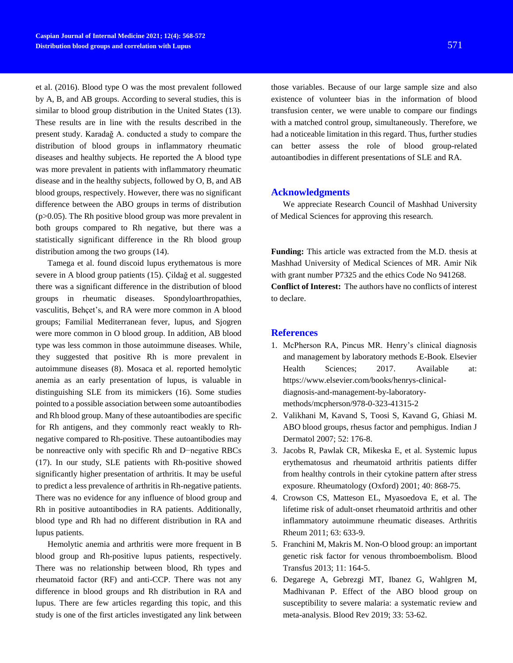et al. (2016). Blood type O was the most prevalent followed by A, B, and AB groups. According to several studies, this is similar to blood group distribution in the United States (13). These results are in line with the results described in the present study. Karadağ A. conducted a study to compare the distribution of blood groups in inflammatory rheumatic diseases and healthy subjects. He reported the A blood type was more prevalent in patients with inflammatory rheumatic disease and in the healthy subjects, followed by O, B, and AB blood groups, respectively. However, there was no significant difference between the ABO groups in terms of distribution  $(p>0.05)$ . The Rh positive blood group was more prevalent in both groups compared to Rh negative, but there was a statistically significant difference in the Rh blood group distribution among the two groups (14).

Tamega et al. found discoid lupus erythematous is more severe in A blood group patients (15). Çildağ et al. suggested there was a significant difference in the distribution of blood groups in rheumatic diseases. Spondyloarthropathies, vasculitis, Behçet's, and RA were more common in A blood groups; Familial Mediterranean fever, lupus, and Sjogren were more common in O blood group. In addition, AB blood type was less common in those autoimmune diseases. While, they suggested that positive Rh is more prevalent in autoimmune diseases (8). Mosaca et al. reported hemolytic anemia as an early presentation of lupus, is valuable in distinguishing SLE from its mimickers (16). Some studies pointed to a possible association between some autoantibodies and Rh blood group. Many of these autoantibodies are specific for Rh antigens, and they commonly react weakly to Rhnegative compared to Rh-positive. These autoantibodies may be nonreactive only with specific Rh and D−negative RBCs (17). In our study, SLE patients with Rh-positive showed significantly higher presentation of arthritis. It may be useful to predict a less prevalence of arthritis in Rh-negative patients. There was no evidence for any influence of blood group and Rh in positive autoantibodies in RA patients. Additionally, blood type and Rh had no different distribution in RA and lupus patients.

Hemolytic anemia and arthritis were more frequent in B blood group and Rh-positive lupus patients, respectively. There was no relationship between blood, Rh types and rheumatoid factor (RF) and anti-CCP. There was not any difference in blood groups and Rh distribution in RA and lupus. There are few articles regarding this topic, and this study is one of the first articles investigated any link between

those variables. Because of our large sample size and also existence of volunteer bias in the information of blood transfusion center, we were unable to compare our findings with a matched control group, simultaneously. Therefore, we had a noticeable limitation in this regard. Thus, further studies can better assess the role of blood group-related autoantibodies in different presentations of SLE and RA.

## **Acknowledgments**

We appreciate Research Council of Mashhad University of Medical Sciences for approving this research.

**Funding:** This article was extracted from the M.D. thesis at Mashhad University of Medical Sciences of MR. Amir Nik with grant number P7325 and the ethics Code No 941268. **Conflict of Interest:** The authors have no conflicts of interest to declare.

## **References**

- 1. McPherson RA, Pincus MR. Henry's clinical diagnosis and management by laboratory methods E-Book. Elsevier Health Sciences; 2017. Available at: https://www.elsevier.com/books/henrys-clinicaldiagnosis-and-management-by-laboratorymethods/mcpherson/978-0-323-41315-2
- 2. Valikhani M, Kavand S, Toosi S, Kavand G, Ghiasi M. ABO blood groups, rhesus factor and pemphigus. Indian J Dermatol 2007; 52: 176-8.
- 3. Jacobs R, Pawlak CR, Mikeska E, et al. Systemic lupus erythematosus and rheumatoid arthritis patients differ from healthy controls in their cytokine pattern after stress exposure. Rheumatology (Oxford) 2001; 40: 868-75.
- 4. Crowson CS, Matteson EL, Myasoedova E, et al. The lifetime risk of adult-onset rheumatoid arthritis and other inflammatory autoimmune rheumatic diseases. Arthritis Rheum 2011; 63: 633-9.
- 5. Franchini M, Makris M. Non-O blood group: an important genetic risk factor for venous thromboembolism. Blood Transfus 2013; 11: 164-5.
- 6. Degarege A, Gebrezgi MT, Ibanez G, Wahlgren M, Madhivanan P. Effect of the ABO blood group on susceptibility to severe malaria: a systematic review and meta-analysis. Blood Rev 2019; 33: 53-62.